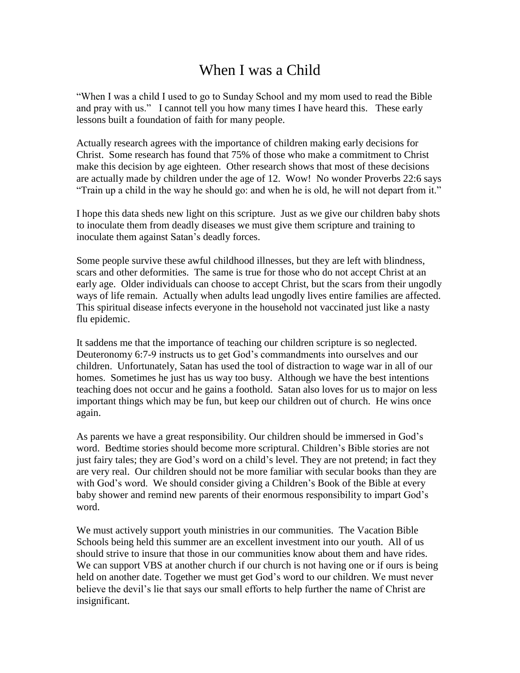## When I was a Child

"When I was a child I used to go to Sunday School and my mom used to read the Bible and pray with us." I cannot tell you how many times I have heard this. These early lessons built a foundation of faith for many people.

Actually research agrees with the importance of children making early decisions for Christ. Some research has found that 75% of those who make a commitment to Christ make this decision by age eighteen. Other research shows that most of these decisions are actually made by children under the age of 12. Wow! No wonder Proverbs 22:6 says "Train up a child in the way he should go: and when he is old, he will not depart from it."

I hope this data sheds new light on this scripture. Just as we give our children baby shots to inoculate them from deadly diseases we must give them scripture and training to inoculate them against Satan's deadly forces.

Some people survive these awful childhood illnesses, but they are left with blindness, scars and other deformities. The same is true for those who do not accept Christ at an early age. Older individuals can choose to accept Christ, but the scars from their ungodly ways of life remain. Actually when adults lead ungodly lives entire families are affected. This spiritual disease infects everyone in the household not vaccinated just like a nasty flu epidemic.

It saddens me that the importance of teaching our children scripture is so neglected. Deuteronomy 6:7-9 instructs us to get God's commandments into ourselves and our children. Unfortunately, Satan has used the tool of distraction to wage war in all of our homes. Sometimes he just has us way too busy. Although we have the best intentions teaching does not occur and he gains a foothold. Satan also loves for us to major on less important things which may be fun, but keep our children out of church. He wins once again.

As parents we have a great responsibility. Our children should be immersed in God's word. Bedtime stories should become more scriptural. Children's Bible stories are not just fairy tales; they are God's word on a child's level. They are not pretend; in fact they are very real. Our children should not be more familiar with secular books than they are with God's word. We should consider giving a Children's Book of the Bible at every baby shower and remind new parents of their enormous responsibility to impart God's word.

We must actively support youth ministries in our communities. The Vacation Bible Schools being held this summer are an excellent investment into our youth. All of us should strive to insure that those in our communities know about them and have rides. We can support VBS at another church if our church is not having one or if ours is being held on another date. Together we must get God's word to our children. We must never believe the devil's lie that says our small efforts to help further the name of Christ are insignificant.